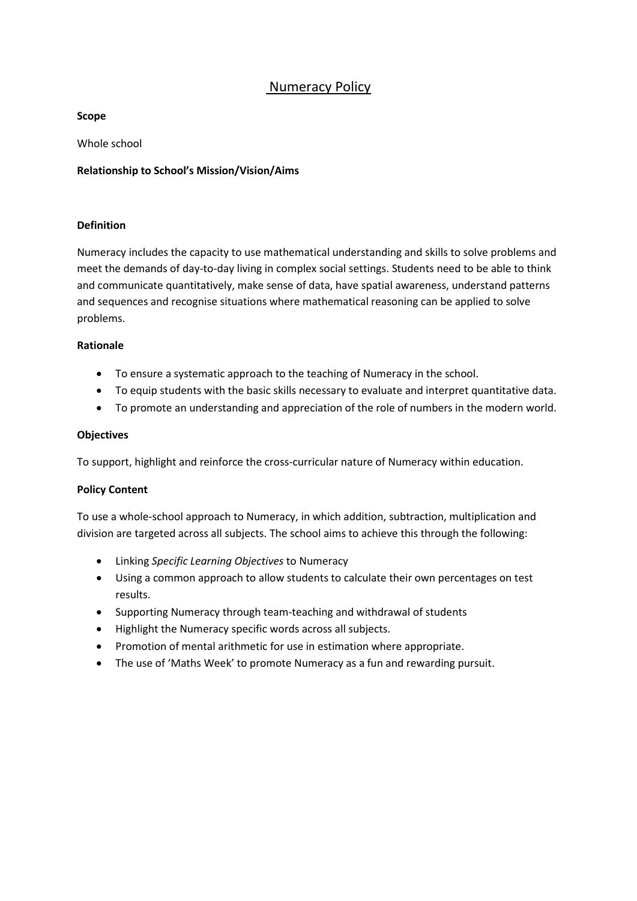# Numeracy Policy

**Scope**

Whole school

# **Relationship to School's Mission/Vision/Aims**

## **Definition**

Numeracy includes the capacity to use mathematical understanding and skills to solve problems and meet the demands of day-to-day living in complex social settings. Students need to be able to think and communicate quantitatively, make sense of data, have spatial awareness, understand patterns and sequences and recognise situations where mathematical reasoning can be applied to solve problems.

### **Rationale**

- To ensure a systematic approach to the teaching of Numeracy in the school.
- To equip students with the basic skills necessary to evaluate and interpret quantitative data.
- To promote an understanding and appreciation of the role of numbers in the modern world.

### **Objectives**

To support, highlight and reinforce the cross-curricular nature of Numeracy within education.

# **Policy Content**

To use a whole-school approach to Numeracy, in which addition, subtraction, multiplication and division are targeted across all subjects. The school aims to achieve this through the following:

- Linking *Specific Learning Objectives* to Numeracy
- Using a common approach to allow students to calculate their own percentages on test results.
- Supporting Numeracy through team-teaching and withdrawal of students
- Highlight the Numeracy specific words across all subjects.
- Promotion of mental arithmetic for use in estimation where appropriate.
- The use of 'Maths Week' to promote Numeracy as a fun and rewarding pursuit.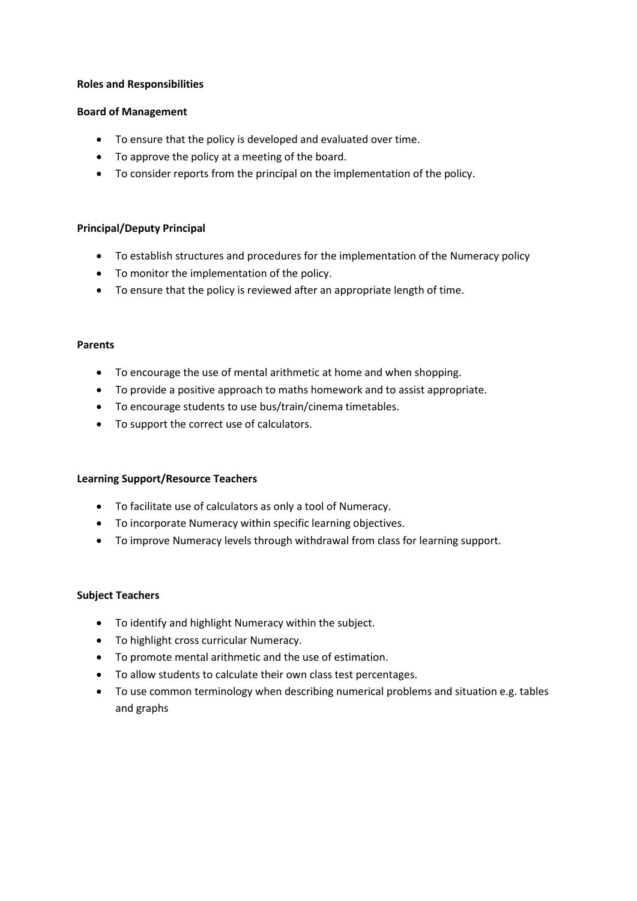#### **Roles and Responsibilities**

### **Board of Management**

- To ensure that the policy is developed and evaluated over time.
- To approve the policy at a meeting of the board.
- To consider reports from the principal on the implementation of the policy.

# **Principal/Deputy Principal**

- To establish structures and procedures for the implementation of the Numeracy policy
- To monitor the implementation of the policy.
- To ensure that the policy is reviewed after an appropriate length of time.

### **Parents**

- To encourage the use of mental arithmetic at home and when shopping.
- To provide a positive approach to maths homework and to assist appropriate.
- To encourage students to use bus/train/cinema timetables.
- To support the correct use of calculators.

#### **Learning Support/Resource Teachers**

- To facilitate use of calculators as only a tool of Numeracy.
- To incorporate Numeracy within specific learning objectives.
- To improve Numeracy levels through withdrawal from class for learning support.

#### **Subject Teachers**

- To identify and highlight Numeracy within the subject.
- To highlight cross curricular Numeracy.
- To promote mental arithmetic and the use of estimation.
- To allow students to calculate their own class test percentages.
- To use common terminology when describing numerical problems and situation e.g. tables and graphs